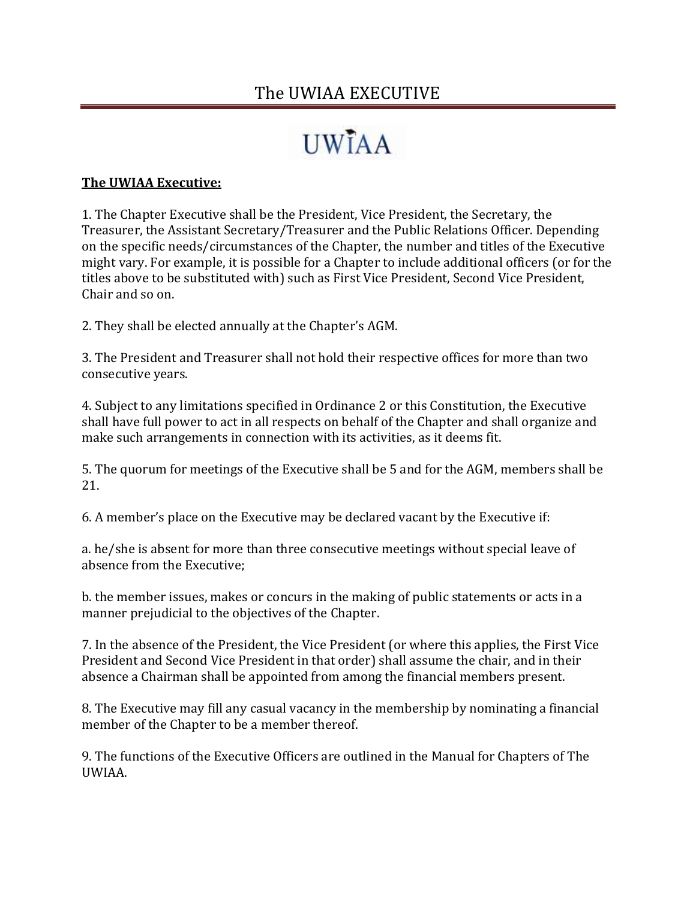### The UWIAA EXECUTIVE

# **IJWIAA**

### **The UWIAA Executive:**

1. The Chapter Executive shall be the President, Vice President, the Secretary, the Treasurer, the Assistant Secretary/Treasurer and the Public Relations Officer. Depending on the specific needs/circumstances of the Chapter, the number and titles of the Executive might vary. For example, it is possible for a Chapter to include additional officers (or for the titles above to be substituted with) such as First Vice President, Second Vice President, Chair and so on.

2. They shall be elected annually at the Chapter's AGM.

3. The President and Treasurer shall not hold their respective offices for more than two consecutive years.

4. Subject to any limitations specified in Ordinance 2 or this Constitution, the Executive shall have full power to act in all respects on behalf of the Chapter and shall organize and make such arrangements in connection with its activities, as it deems fit.

5. The quorum for meetings of the Executive shall be 5 and for the AGM, members shall be 21.

6. A member's place on the Executive may be declared vacant by the Executive if:

a. he/she is absent for more than three consecutive meetings without special leave of absence from the Executive;

b. the member issues, makes or concurs in the making of public statements or acts in a manner prejudicial to the objectives of the Chapter.

7. In the absence of the President, the Vice President (or where this applies, the First Vice President and Second Vice President in that order) shall assume the chair, and in their absence a Chairman shall be appointed from among the financial members present.

8. The Executive may fill any casual vacancy in the membership by nominating a financial member of the Chapter to be a member thereof.

9. The functions of the Executive Officers are outlined in the Manual for Chapters of The UWIAA.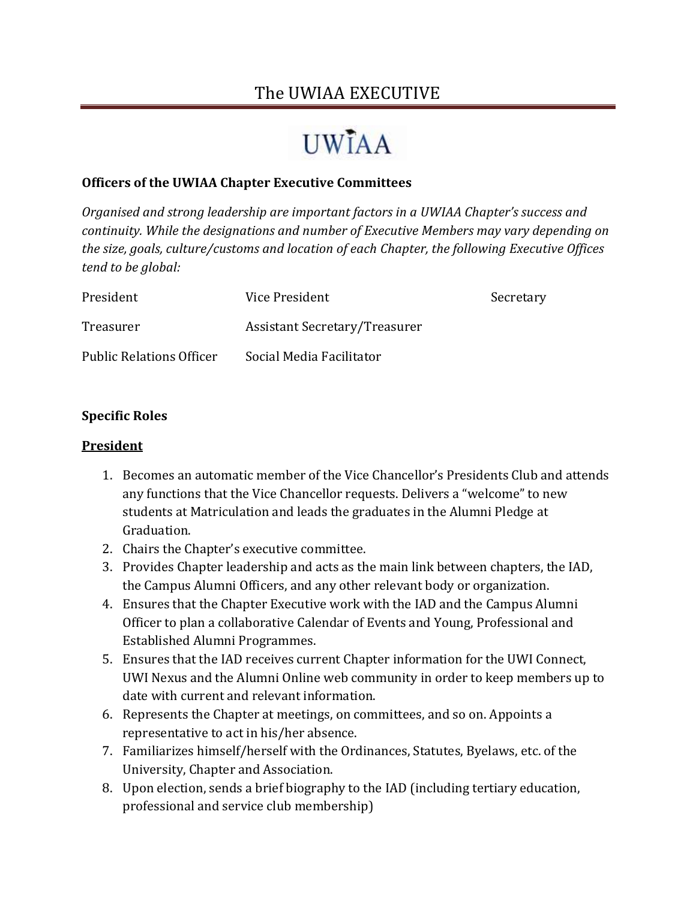### The UWIAA EXECUTIVE

## **UWIAA**

### **Officers of the UWIAA Chapter Executive Committees**

*Organised and strong leadership are important factors in a UWIAA Chapter's success and continuity. While the designations and number of Executive Members may vary depending on the size, goals, culture/customs and location of each Chapter, the following Executive Offices tend to be global:*

| President                       | Vice President                       | Secretary |
|---------------------------------|--------------------------------------|-----------|
| Treasurer                       | <b>Assistant Secretary/Treasurer</b> |           |
| <b>Public Relations Officer</b> | Social Media Facilitator             |           |

#### **Specific Roles**

#### **President**

- 1. Becomes an automatic member of the Vice Chancellor's Presidents Club and attends any functions that the Vice Chancellor requests. Delivers a "welcome" to new students at Matriculation and leads the graduates in the Alumni Pledge at Graduation.
- 2. Chairs the Chapter's executive committee.
- 3. Provides Chapter leadership and acts as the main link between chapters, the IAD, the Campus Alumni Officers, and any other relevant body or organization.
- 4. Ensures that the Chapter Executive work with the IAD and the Campus Alumni Officer to plan a collaborative Calendar of Events and Young, Professional and Established Alumni Programmes.
- 5. Ensures that the IAD receives current Chapter information for the UWI Connect, UWI Nexus and the Alumni Online web community in order to keep members up to date with current and relevant information.
- 6. Represents the Chapter at meetings, on committees, and so on. Appoints a representative to act in his/her absence.
- 7. Familiarizes himself/herself with the Ordinances, Statutes, Byelaws, etc. of the University, Chapter and Association.
- 8. Upon election, sends a brief biography to the IAD (including tertiary education, professional and service club membership)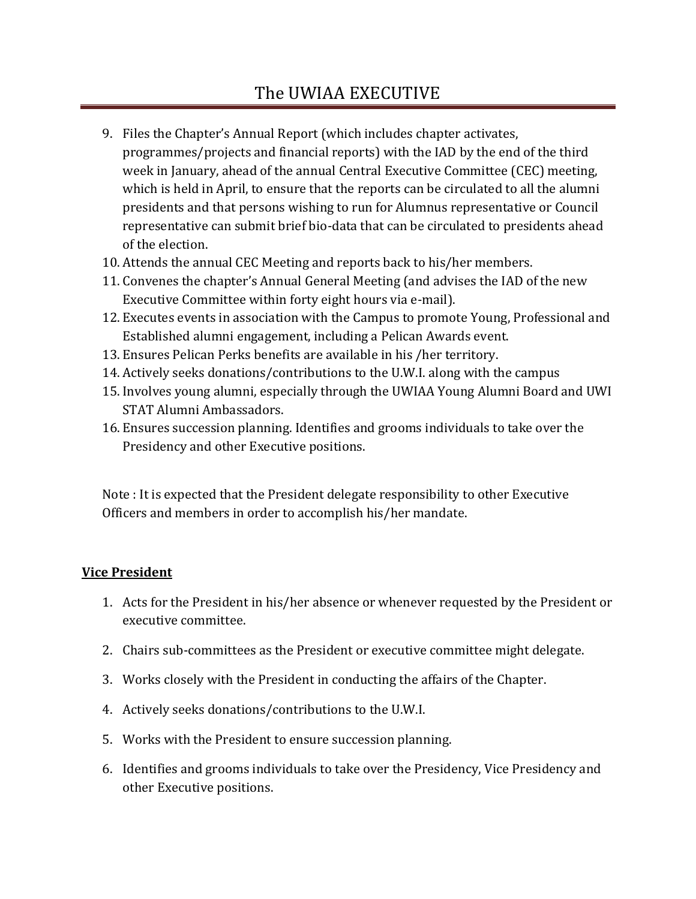### The UWIAA EXECUTIVE

- 9. Files the Chapter's Annual Report (which includes chapter activates, programmes/projects and financial reports) with the IAD by the end of the third week in January, ahead of the annual Central Executive Committee (CEC) meeting, which is held in April, to ensure that the reports can be circulated to all the alumni presidents and that persons wishing to run for Alumnus representative or Council representative can submit brief bio-data that can be circulated to presidents ahead of the election.
- 10. Attends the annual CEC Meeting and reports back to his/her members.
- 11. Convenes the chapter's Annual General Meeting (and advises the IAD of the new Executive Committee within forty eight hours via e-mail).
- 12. Executes events in association with the Campus to promote Young, Professional and Established alumni engagement, including a Pelican Awards event.
- 13. Ensures Pelican Perks benefits are available in his /her territory.
- 14. Actively seeks donations/contributions to the U.W.I. along with the campus
- 15. Involves young alumni, especially through the UWIAA Young Alumni Board and UWI STAT Alumni Ambassadors.
- 16. Ensures succession planning. Identifies and grooms individuals to take over the Presidency and other Executive positions.

Note : It is expected that the President delegate responsibility to other Executive Officers and members in order to accomplish his/her mandate.

#### **Vice President**

- 1. Acts for the President in his/her absence or whenever requested by the President or executive committee.
- 2. Chairs sub-committees as the President or executive committee might delegate.
- 3. Works closely with the President in conducting the affairs of the Chapter.
- 4. Actively seeks donations/contributions to the U.W.I.
- 5. Works with the President to ensure succession planning.
- 6. Identifies and grooms individuals to take over the Presidency, Vice Presidency and other Executive positions.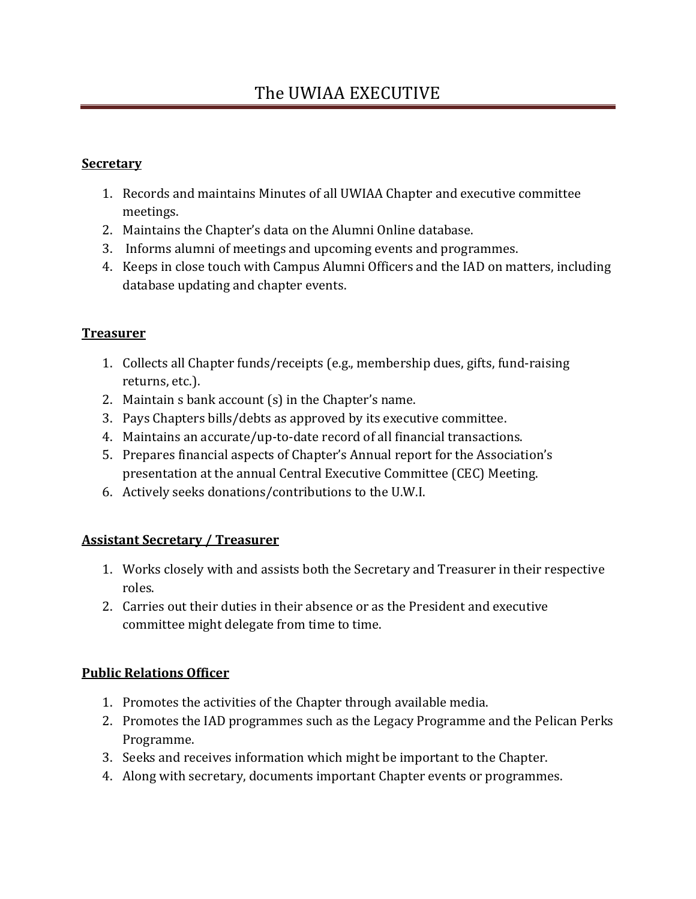### **Secretary**

- 1. Records and maintains Minutes of all UWIAA Chapter and executive committee meetings.
- 2. Maintains the Chapter's data on the Alumni Online database.
- 3. Informs alumni of meetings and upcoming events and programmes.
- 4. Keeps in close touch with Campus Alumni Officers and the IAD on matters, including database updating and chapter events.

### **Treasurer**

- 1. Collects all Chapter funds/receipts (e.g., membership dues, gifts, fund-raising returns, etc.).
- 2. Maintain s bank account (s) in the Chapter's name.
- 3. Pays Chapters bills/debts as approved by its executive committee.
- 4. Maintains an accurate/up-to-date record of all financial transactions.
- 5. Prepares financial aspects of Chapter's Annual report for the Association's presentation at the annual Central Executive Committee (CEC) Meeting.
- 6. Actively seeks donations/contributions to the U.W.I.

### **Assistant Secretary / Treasurer**

- 1. Works closely with and assists both the Secretary and Treasurer in their respective roles.
- 2. Carries out their duties in their absence or as the President and executive committee might delegate from time to time.

### **Public Relations Officer**

- 1. Promotes the activities of the Chapter through available media.
- 2. Promotes the IAD programmes such as the Legacy Programme and the Pelican Perks Programme.
- 3. Seeks and receives information which might be important to the Chapter.
- 4. Along with secretary, documents important Chapter events or programmes.